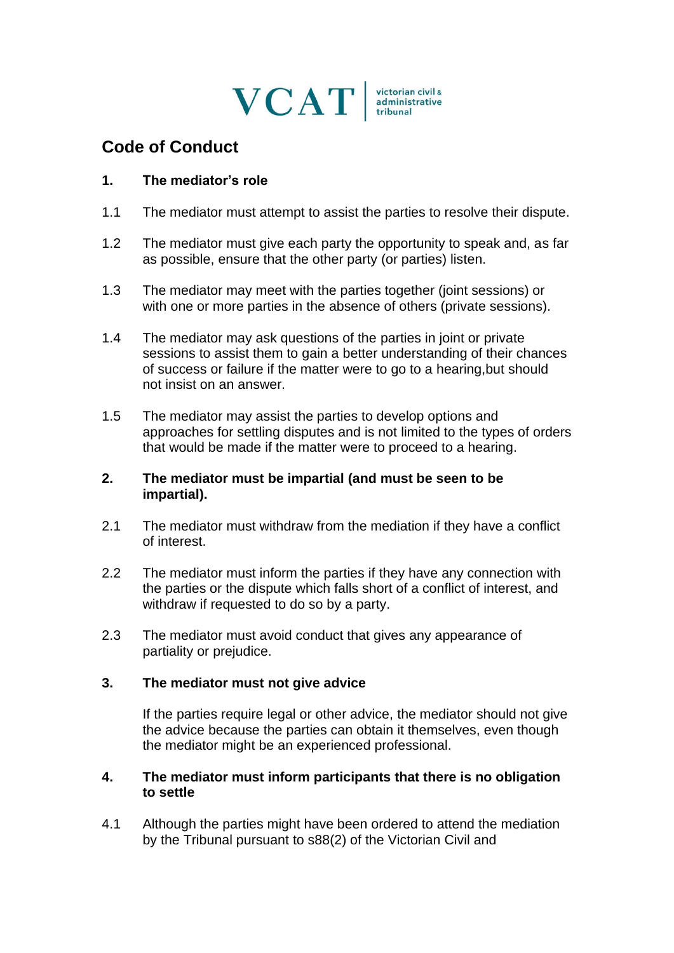

# **Code of Conduct**

### **1. The mediator's role**

- 1.1 The mediator must attempt to assist the parties to resolve their dispute.
- 1.2 The mediator must give each party the opportunity to speak and, as far as possible, ensure that the other party (or parties) listen.
- 1.3 The mediator may meet with the parties together (joint sessions) or with one or more parties in the absence of others (private sessions).
- 1.4 The mediator may ask questions of the parties in joint or private sessions to assist them to gain a better understanding of their chances of success or failure if the matter were to go to a hearing,but should not insist on an answer.
- 1.5 The mediator may assist the parties to develop options and approaches for settling disputes and is not limited to the types of orders that would be made if the matter were to proceed to a hearing.

#### **2. The mediator must be impartial (and must be seen to be impartial).**

- 2.1 The mediator must withdraw from the mediation if they have a conflict of interest.
- 2.2 The mediator must inform the parties if they have any connection with the parties or the dispute which falls short of a conflict of interest, and withdraw if requested to do so by a party.
- 2.3 The mediator must avoid conduct that gives any appearance of partiality or prejudice.

#### **3. The mediator must not give advice**

If the parties require legal or other advice, the mediator should not give the advice because the parties can obtain it themselves, even though the mediator might be an experienced professional.

## **4. The mediator must inform participants that there is no obligation to settle**

4.1 Although the parties might have been ordered to attend the mediation by the Tribunal pursuant to s88(2) of the Victorian Civil and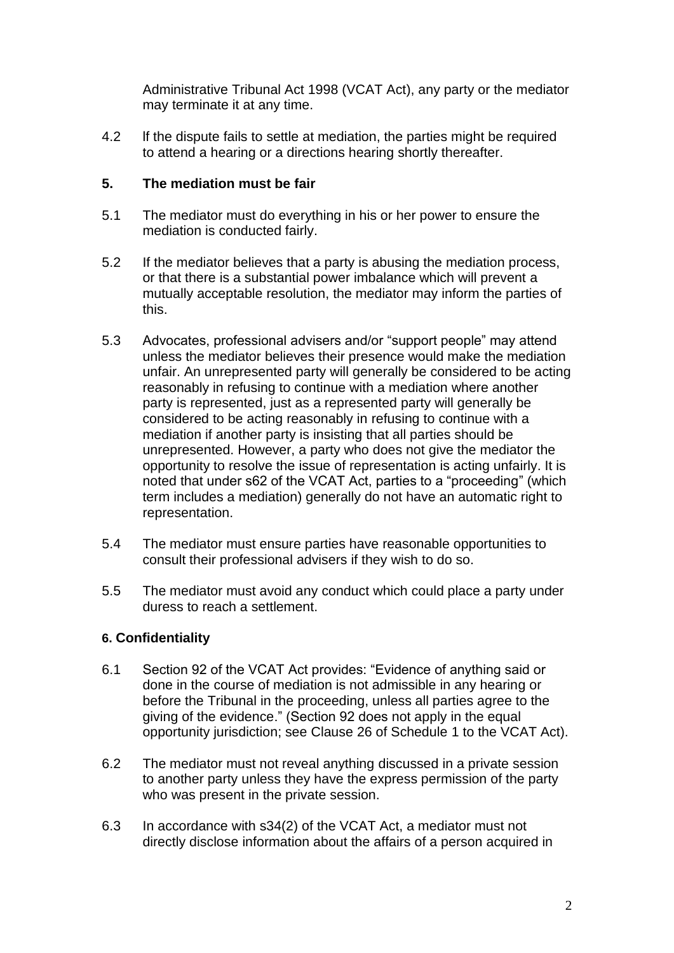Administrative Tribunal Act 1998 (VCAT Act), any party or the mediator may terminate it at any time.

4.2 If the dispute fails to settle at mediation, the parties might be required to attend a hearing or a directions hearing shortly thereafter.

## **5. The mediation must be fair**

- 5.1 The mediator must do everything in his or her power to ensure the mediation is conducted fairly.
- 5.2 If the mediator believes that a party is abusing the mediation process, or that there is a substantial power imbalance which will prevent a mutually acceptable resolution, the mediator may inform the parties of this.
- 5.3 Advocates, professional advisers and/or "support people" may attend unless the mediator believes their presence would make the mediation unfair. An unrepresented party will generally be considered to be acting reasonably in refusing to continue with a mediation where another party is represented, just as a represented party will generally be considered to be acting reasonably in refusing to continue with a mediation if another party is insisting that all parties should be unrepresented. However, a party who does not give the mediator the opportunity to resolve the issue of representation is acting unfairly. It is noted that under s62 of the VCAT Act, parties to a "proceeding" (which term includes a mediation) generally do not have an automatic right to representation.
- 5.4 The mediator must ensure parties have reasonable opportunities to consult their professional advisers if they wish to do so.
- 5.5 The mediator must avoid any conduct which could place a party under duress to reach a settlement.

## **6. Confidentiality**

- 6.1 Section 92 of the VCAT Act provides: "Evidence of anything said or done in the course of mediation is not admissible in any hearing or before the Tribunal in the proceeding, unless all parties agree to the giving of the evidence." (Section 92 does not apply in the equal opportunity jurisdiction; see Clause 26 of Schedule 1 to the VCAT Act).
- 6.2 The mediator must not reveal anything discussed in a private session to another party unless they have the express permission of the party who was present in the private session.
- 6.3 In accordance with s34(2) of the VCAT Act, a mediator must not directly disclose information about the affairs of a person acquired in